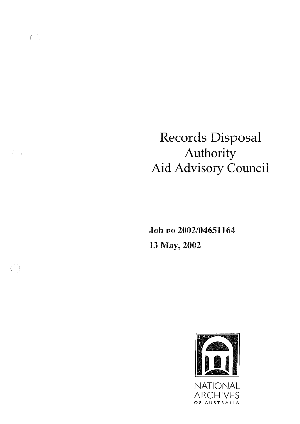Records Disposal Authority Aid Advisory Council

Job no *2002/04651164*  13 May, 2002

 $\Big(\begin{smallmatrix} \mathbb{R}^n & \mathbb{R}^n \\ \mathbb{R}^n & \mathbb{R}^n \end{smallmatrix}\Big)$ 

 $\hat{U}^{\prime\prime}$  .

O,

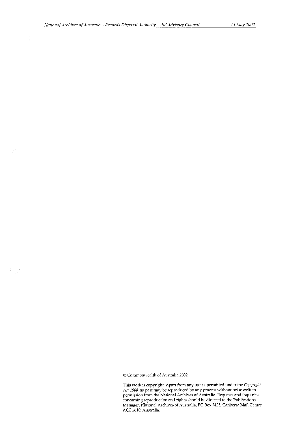$\mathcal{L}_{\mathcal{M}_{\mathcal{A}}}$ 

 $\int_{-\infty}^{\infty} \frac{1}{\mu}$ 

 $\begin{pmatrix} 1 & 1 \\ 1 & 1 \end{pmatrix}$ 

© Commonwealth of Australia 2002

111iswork is copyright. Apart from any use as permitted under the *Copyrigllt*  Act 1968, no part may be reproduced by any process without prior written permission from the National Archives of Australia. Requests and inquiries concerning reproduction and rights should be directed to the Publications Manager, National Archives of Australia, PO Box 7425, Canberra Mail Centre ACT 2610, Australia.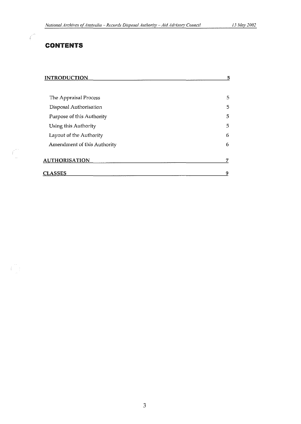## **CONTENTS**

 $\int$ 

 $\int_{-\infty}^{\infty}$ 

| <b>INTRODUCTION</b>         | 5 |
|-----------------------------|---|
|                             |   |
| The Appraisal Process       | 5 |
| Disposal Authorisation      | 5 |
| Purpose of this Authority   | 5 |
| Using this Authority        | 5 |
| Layout of the Authority     | 6 |
| Amendment of this Authority | 6 |
| <b>AUTHORISATION</b>        | 7 |
| <b>CLASSES</b>              | 9 |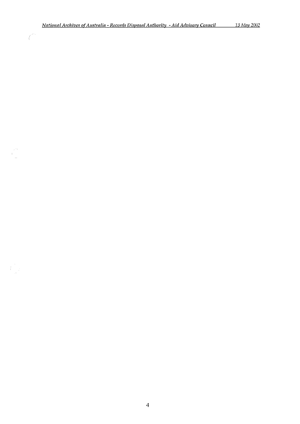$\overline{4}$ 

 $\hat{\mathcal{C}}^{(0)}$ 

 $\begin{array}{c} \frac{1}{2} \frac{1}{2} \frac{1}{2} \frac{1}{2} \frac{1}{2} \frac{1}{2} \frac{1}{2} \frac{1}{2} \frac{1}{2} \frac{1}{2} \frac{1}{2} \frac{1}{2} \frac{1}{2} \frac{1}{2} \frac{1}{2} \frac{1}{2} \frac{1}{2} \frac{1}{2} \frac{1}{2} \frac{1}{2} \frac{1}{2} \frac{1}{2} \frac{1}{2} \frac{1}{2} \frac{1}{2} \frac{1}{2} \frac{1}{2} \frac{1}{2} \frac{1}{2} \frac{1}{2} \frac{$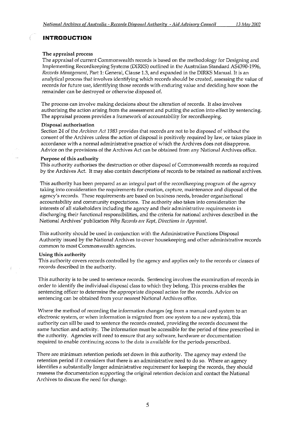#### **INTRODUCTION**

#### The appraisal process

The appraisal of current Commonwealth records is based on the methodology for Designing and Implementing Recordkeeping Systems (DIRKS) outlined in the Australian Standard AS4390-1996, *Records Management,* Part 1: General, Clause 1.3, and expanded in the DIRKS Manual. It is an analytical process that involves identifying which records should be created, assessing the value of records for future use, identifying those records with enduring value and deciding how soon the remainder can be destroyed or otherwise disposed of.

**The process can involve making decisions about the alteration of records. It also involves**  authorising the action arising from the assessment and putting the action into effect by sentencing. The appraisal process provides a framework of accountability for recordkeeping.

#### Disposal authorisation

Section 24 of the *Archives Act* 1983 provides that records are not to be disposed of without the consent of the Archives unless the action of disposal is positively required by law, or takes place in accordance with a normal administrative practice of which the Archives does not disapprove. Advice on the provisions of the Archives Act can be obtained from any National Archives office.

#### Purpose of this authority

This authority authorises the destruction or other disposal of Commonwealth records as required by the Archives Act. It may also contain descriptions of records to be retained as national archives.

This authority has been prepared as an integral part of the record keeping program of the agency **taking into consideration the requirements for creation, capture, maintenance and disposal of the agency's records. These requirements are based on business needs, broader organisational**  accountability and community expectations. The authority also takes into consideration the interests of all stakeholders including the agency and their administrative requirements in discharging their functional responsibilities, and the criteria for national archives described in the National Archives' publication *Why Records are Kept, Directions in Appraisal.* 

This authority should be used in conjunction with the Administrative Functions Disposal Authority issued by the National Archives to cover housekeeping and other administrative records **common to most Commonwealth agencies.** 

#### Using this authority

This authority covers records controlled by the agency and applies only to the records or classes of records described in the authority.

111is authority is to be used to sentence records. Sentencing involves the examination of records in order to identify the individual disposal class to which they belong. This process enables the sentencing officer to determine the appropriate disposal action for the records. Advice on sentencing can be obtained from your nearest National Archives office.

Where the method of recording the information changes (eg from a manual card system to an **electronic system, or when information is migrated from one system to a new system), this**  authority can sill be used to sentence the records created, providing the records document the same function and activity. The information must be accessible for the period of time prescribed in the authority. Agencies will need to ensure that any software, hardware or documentation required to enable continuing access to the data is available for the periods prescribed.

There are minimum retention periods set down in this authority. The agency may extend the retention period if it considers that there is an administrative need to do so. Where an agency identifies a substantially longer administrative requirement for keeping the records, they should reassess the documentation supporting the original retention decision and contact the National Archives to discuss the need for change.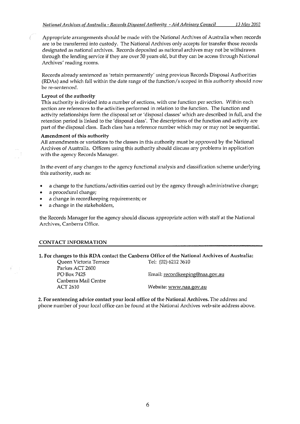Appropriate arrangements should be made with the National Archives of Australia when records are to be transferred into custody. The National Archives only accepts for transfer those records designated as national archives. Records deposited as national archives may not be withdrawn through the lending service if they are over 30 years old, but they can be access through National Archives' reading rooms.

Records already sentenced as 'retain permanently' using previous Records Disposal Authorities (RDAs) and which fall within the date range of the function/s scoped in this authority should now **be re-sentenced.** 

#### Layout of the authority

This authority is divided into a number of sections, with one function per section. Within each **section are references to the activities performed in relation to the function. The function and**  activity relationships form the disposal set or 'disposal classes' which are described in full, and the retention period is linked to the 'disposal class'. The descriptions of the function and activity are part of the disposal class. Each class has a reference number which may or may not be sequential.

#### Amendment of this authority

All amendments or variations to the classes in this authority must be approved by the National Archives of Australia. Officers using this authority should discuss any problems in application with the agency Records Manager.

In the event of any changes to the agency functional analysis and classification scheme underlying this authority, such as:

- a change to the functions/activities carried out by the agency through administrative change;
- a **procedural change;**
- a change in recordkeeping requirements; or
- a change in the stakeholders,

the Records Manager for the agency should discuss appropriate action with staff at the National Archives, Canberra Office.

#### CONTACT INFORMATION

|  |  | 1. For changes to this RDA contact the Canberra Office of the National Archives of Australia: |  |  |  |
|--|--|-----------------------------------------------------------------------------------------------|--|--|--|
|  |  |                                                                                               |  |  |  |

Queen Victoria Terrace Tel: (02) 6212 3610 Parkes ACT 2600 PO Box 7425 **Email:** recordkeeping@naa.gov.au Canberra Mail Centre

ACT 2610 Website: www.naa.gov.au

2. For sentencing advice contact your local office of the National Archives. The address and phone number of your local office can be found at the National Archives web-site address above.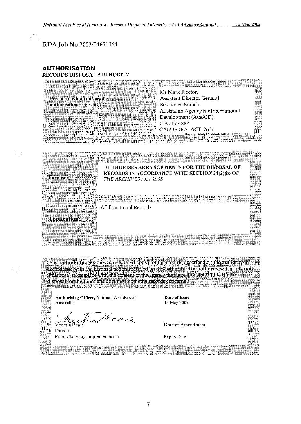### RDA Job No 2002/04651164

## **AUTHORISATION**

RECORDS DISPOSAL AUTHORITY

**Person to whom notice of** authorisation is given:

Mr Mark Fleeton **Assistant Director General** Resources Branch Australian Agency for International Development (AusAID) GPO Box 887 CANBERRA ACT 2601

|              | AUTHORISES ARRANGEMENTS FOR THE DISPOSAL OF    |  |
|--------------|------------------------------------------------|--|
|              | RECORDS IN ACCORDANCE WITH SECTION 24(2)(b) OF |  |
| Purpose:     | THE ARCHIVES ACT 1983                          |  |
|              |                                                |  |
|              |                                                |  |
|              |                                                |  |
|              |                                                |  |
|              | All Functional Records                         |  |
|              |                                                |  |
|              |                                                |  |
| Application: |                                                |  |
|              |                                                |  |
|              |                                                |  |
|              |                                                |  |
|              |                                                |  |

This authorisation applies to only the disposal of the records described on the authority in accordance with the disposal action specified on the authority. The authority will apply only If disposal takes place with the consent of the agency that is responsible at the time of disposal for the functions documented in the records concerned.

**Authorising Officer, National Archives of** Australia

cear Venetia Beale

Director Recordkeeping Implementation Date of Issue 13 May 2002

Date of Amendment

**Expiry Date**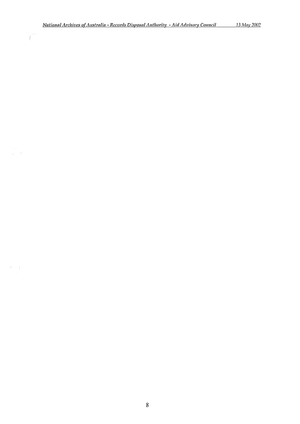$\hat{\ell}^{\mathcal{P}^{\mathcal{P}}}$ 

 $\begin{pmatrix} 0 & 0 \\ 0 & 0 \\ 0 & 0 \end{pmatrix} = \begin{pmatrix} 0 \\ 0 \\ 0 \end{pmatrix}$ 

 $\label{eq:2.1} \begin{split} \mathcal{L}_{\text{max}}(\mathbf{r}) = \mathcal{L}_{\text{max}}(\mathbf{r}) \,,\\ \mathcal{L}_{\text{max}}(\mathbf{r}) = \mathcal{L}_{\text{max}}(\mathbf{r}) \,. \end{split}$ 

 $8\,$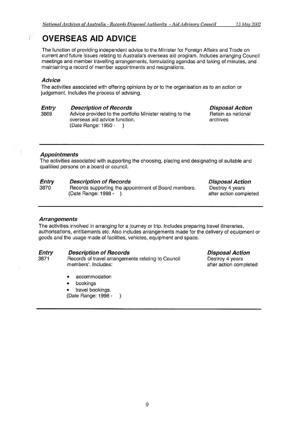## **OVERSEAS AID ADVICE**

The function of providing independent advice to the Minister for Foreign Affairs and Trade on current and future issues relating to Australia's overseas aid program. Includes arranging Council meetings and member travelling arrangements, formuiating agendas and taking of minutes, and maintaining a record of member appointments and resignations.

#### **Advice**

The activities associated with offering opinions by or to the organisation as to an action or judgement. Includes the process of advising.

**Entry** Description of Records<br>3869 Advice provided to the portfolio Minister relating to the Retain as national Advice provided to the portfolio Minister relating to the Retain as new retain as national provided verses and analyzing and the Retain as national provided verses and advice function. overseas aid advice function. (Date Range: 1950 )

#### **Appointments**

The activities associated with supporting the choosing, placing and designating of suitable and qualified persons on a board or council.

**Entry** Description of Records<br>3870 Records supporting the appointment of Board members. Destroy 4 years Records supporting the appointment of Board members. Destroy 4 years<br>(Date Range: 1998 - ) after action completed  $(Date Range: 1998 - )$ 

#### **Arrangements**

The activities involved in arranging for a journey or trip. Includes preparing travel itineraries, authorisations, entitlements etc. Also includes arrangements made for the delivery of equipment or goods and the usage made of facilities, vehicies, equipment and space.

#### **Entry Description of Records**

3871 Records of travel arrangements relating to Council members'. Inciudes:

- accommodation
- **bookings**
- travel bookings.

(Date Range: 1998  $\rightarrow$  **Disposal Action** 

Destroy 4 years after action completed